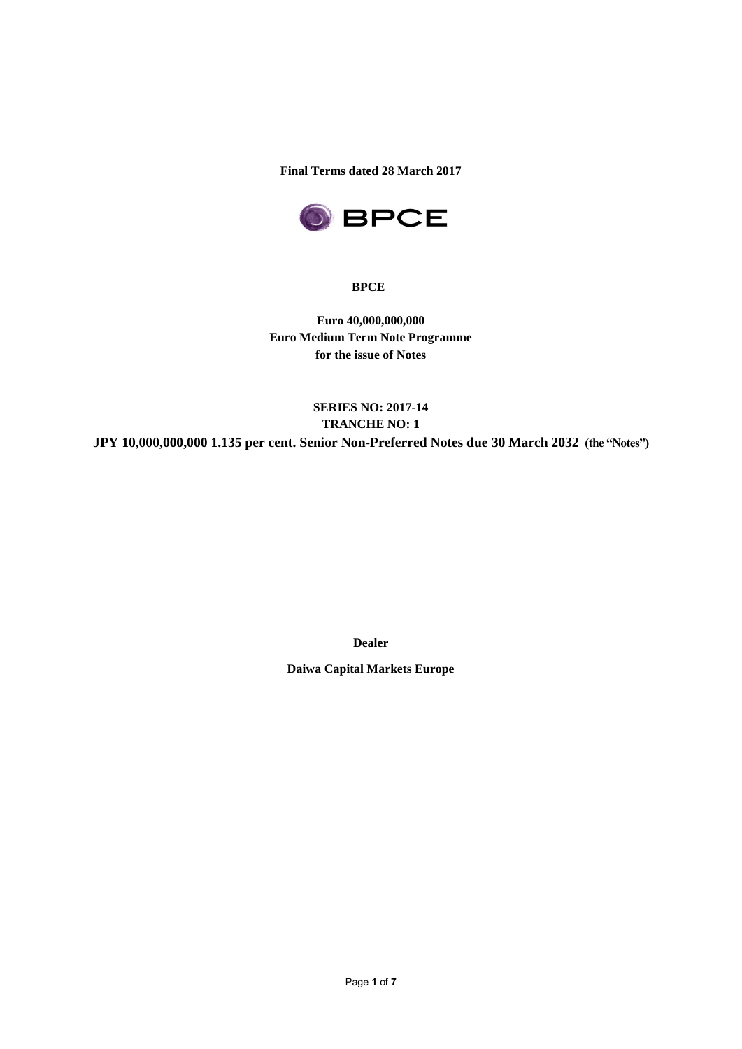**Final Terms dated 28 March 2017**



## **BPCE**

**Euro 40,000,000,000 Euro Medium Term Note Programme for the issue of Notes**

# **SERIES NO: 2017-14 TRANCHE NO: 1 JPY 10,000,000,000 1.135 per cent. Senior Non-Preferred Notes due 30 March 2032 (the "Notes")**

**Dealer**

**Daiwa Capital Markets Europe**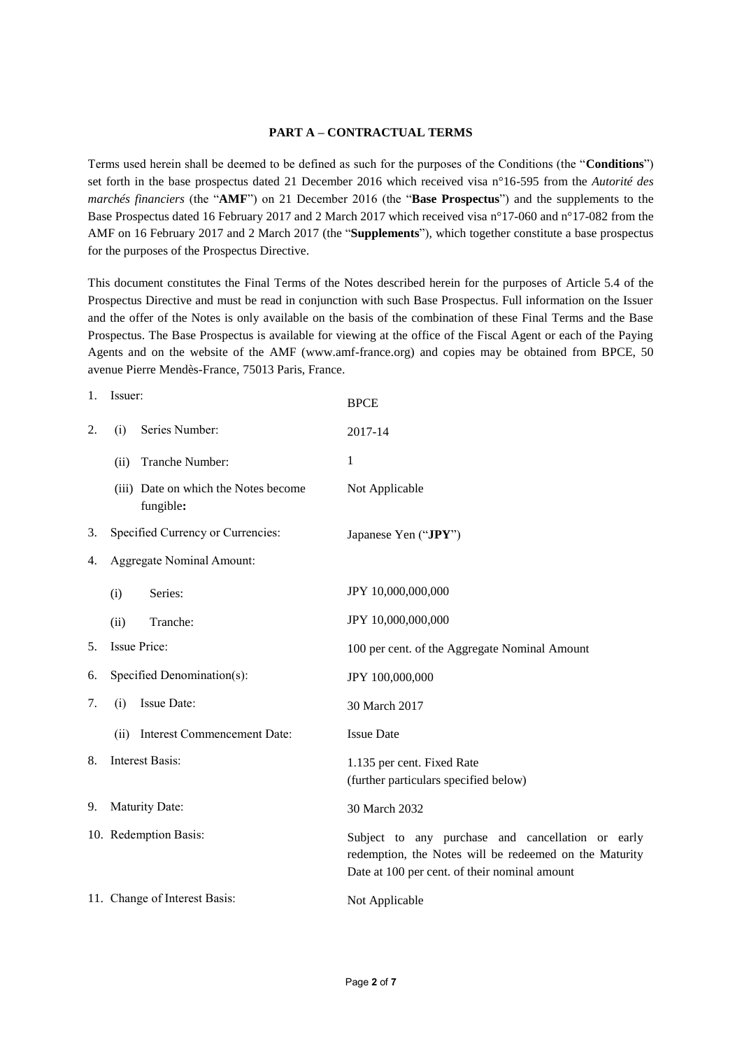#### **PART A – CONTRACTUAL TERMS**

Terms used herein shall be deemed to be defined as such for the purposes of the Conditions (the "**Conditions**") set forth in the base prospectus dated 21 December 2016 which received visa n°16-595 from the *Autorité des marchés financiers* (the "**AMF**") on 21 December 2016 (the "**Base Prospectus**") and the supplements to the Base Prospectus dated 16 February 2017 and 2 March 2017 which received visa n°17-060 and n°17-082 from the AMF on 16 February 2017 and 2 March 2017 (the "**Supplements**"), which together constitute a base prospectus for the purposes of the Prospectus Directive.

This document constitutes the Final Terms of the Notes described herein for the purposes of Article 5.4 of the Prospectus Directive and must be read in conjunction with such Base Prospectus. Full information on the Issuer and the offer of the Notes is only available on the basis of the combination of these Final Terms and the Base Prospectus. The Base Prospectus is available for viewing at the office of the Fiscal Agent or each of the Paying Agents and on the website of the AMF (www.amf-france.org) and copies may be obtained from BPCE, 50 avenue Pierre Mendès-France, 75013 Paris, France.

| 1. | Issuer: |                                                   | <b>BPCE</b>                                                                                                                                                  |
|----|---------|---------------------------------------------------|--------------------------------------------------------------------------------------------------------------------------------------------------------------|
| 2. | (i)     | Series Number:                                    | 2017-14                                                                                                                                                      |
|    | (ii)    | Tranche Number:                                   | 1                                                                                                                                                            |
|    |         | (iii) Date on which the Notes become<br>fungible: | Not Applicable                                                                                                                                               |
| 3. |         | Specified Currency or Currencies:                 | Japanese Yen ("JPY")                                                                                                                                         |
| 4. |         | Aggregate Nominal Amount:                         |                                                                                                                                                              |
|    | (i)     | Series:                                           | JPY 10,000,000,000                                                                                                                                           |
|    | (ii)    | Tranche:                                          | JPY 10,000,000,000                                                                                                                                           |
| 5. |         | Issue Price:                                      | 100 per cent. of the Aggregate Nominal Amount                                                                                                                |
| 6. |         | Specified Denomination(s):                        | JPY 100,000,000                                                                                                                                              |
| 7. | (i)     | Issue Date:                                       | 30 March 2017                                                                                                                                                |
|    | (ii)    | Interest Commencement Date:                       | <b>Issue Date</b>                                                                                                                                            |
| 8. |         | Interest Basis:                                   | 1.135 per cent. Fixed Rate<br>(further particulars specified below)                                                                                          |
| 9. |         | Maturity Date:                                    | 30 March 2032                                                                                                                                                |
|    |         | 10. Redemption Basis:                             | Subject to any purchase and cancellation or early<br>redemption, the Notes will be redeemed on the Maturity<br>Date at 100 per cent. of their nominal amount |
|    |         | 11. Change of Interest Basis:                     | Not Applicable                                                                                                                                               |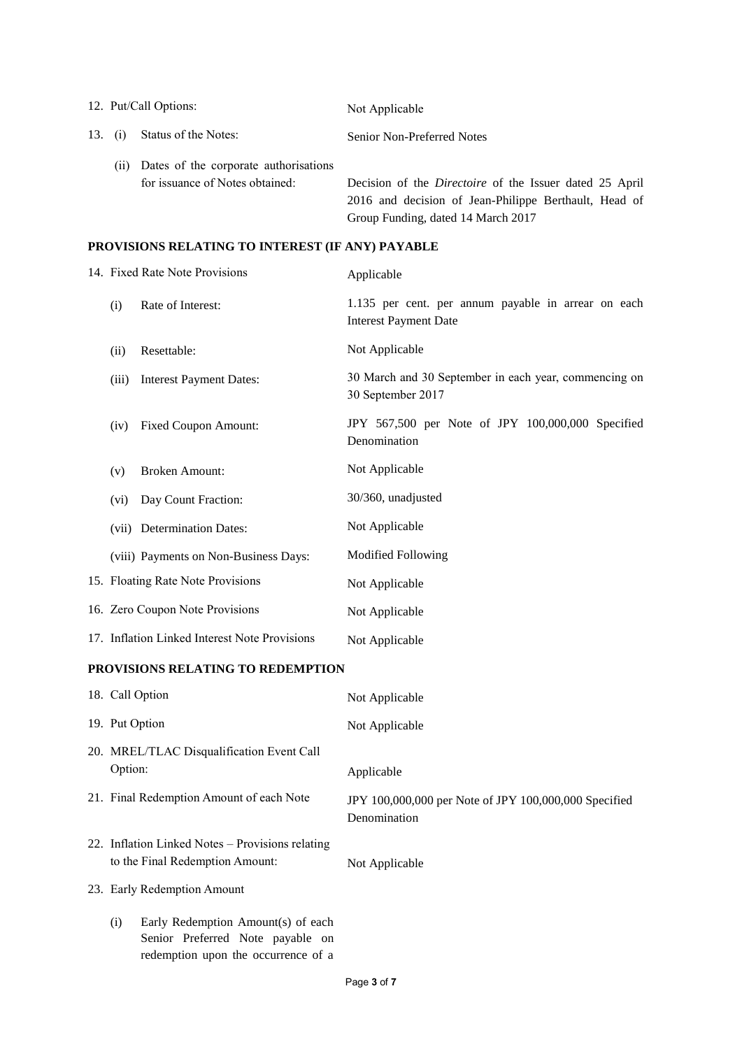|         |      | 12. Put/Call Options:                 | Not Applicable                                                 |
|---------|------|---------------------------------------|----------------------------------------------------------------|
| 13. (i) |      | Status of the Notes:                  | Senior Non-Preferred Notes                                     |
|         | (11) | Dates of the corporate authorisations |                                                                |
|         |      | for issuance of Notes obtained:       | Decision of the <i>Directoire</i> of the Issuer dated 25 April |
|         |      |                                       | 2016 and decision of Jean-Philippe Berthault, Head of          |
|         |      |                                       | Group Funding, dated 14 March 2017                             |

# **PROVISIONS RELATING TO INTEREST (IF ANY) PAYABLE**

|                | 14. Fixed Rate Note Provisions                                                                                | Applicable                                                                          |
|----------------|---------------------------------------------------------------------------------------------------------------|-------------------------------------------------------------------------------------|
| (i)            | Rate of Interest:                                                                                             | 1.135 per cent. per annum payable in arrear on each<br><b>Interest Payment Date</b> |
| (ii)           | Resettable:                                                                                                   | Not Applicable                                                                      |
| (iii)          | <b>Interest Payment Dates:</b>                                                                                | 30 March and 30 September in each year, commencing on<br>30 September 2017          |
| (iv)           | <b>Fixed Coupon Amount:</b>                                                                                   | JPY 567,500 per Note of JPY 100,000,000 Specified<br>Denomination                   |
| (v)            | <b>Broken Amount:</b>                                                                                         | Not Applicable                                                                      |
| (vi)           | Day Count Fraction:                                                                                           | 30/360, unadjusted                                                                  |
|                | (vii) Determination Dates:                                                                                    | Not Applicable                                                                      |
|                | (viii) Payments on Non-Business Days:                                                                         | <b>Modified Following</b>                                                           |
|                | 15. Floating Rate Note Provisions                                                                             | Not Applicable                                                                      |
|                | 16. Zero Coupon Note Provisions                                                                               | Not Applicable                                                                      |
|                | 17. Inflation Linked Interest Note Provisions                                                                 | Not Applicable                                                                      |
|                | PROVISIONS RELATING TO REDEMPTION                                                                             |                                                                                     |
|                | 18. Call Option                                                                                               | Not Applicable                                                                      |
| 19. Put Option |                                                                                                               | Not Applicable                                                                      |
| Option:        | 20. MREL/TLAC Disqualification Event Call                                                                     | Applicable                                                                          |
|                | 21. Final Redemption Amount of each Note                                                                      | JPY 100,000,000 per Note of JPY 100,000,000 Specified<br>Denomination               |
|                | 22. Inflation Linked Notes - Provisions relating<br>to the Final Redemption Amount:                           | Not Applicable                                                                      |
|                | 23. Early Redemption Amount                                                                                   |                                                                                     |
| (i)            | Early Redemption Amount(s) of each<br>Senior Preferred Note payable on<br>redemption upon the occurrence of a |                                                                                     |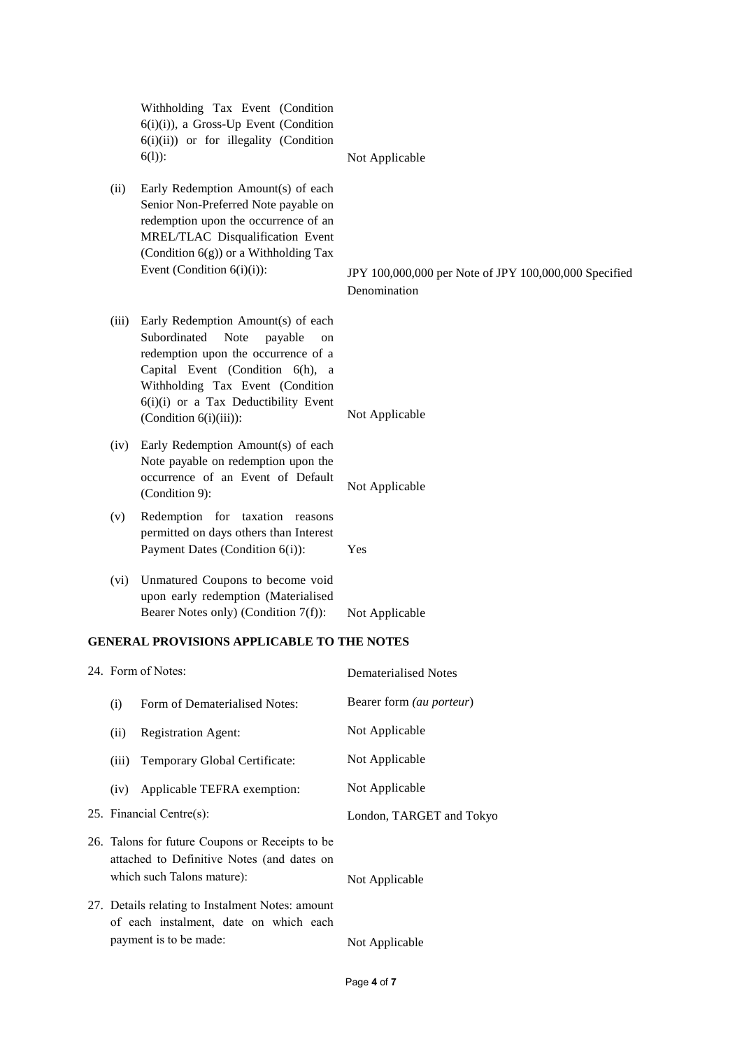|       | Withholding Tax Event (Condition<br>$6(i)(i)$ , a Gross-Up Event (Condition<br>6(i)(ii)) or for illegality (Condition<br>$6(1)$ :                                                                                                                               | Not Applicable                                                        |
|-------|-----------------------------------------------------------------------------------------------------------------------------------------------------------------------------------------------------------------------------------------------------------------|-----------------------------------------------------------------------|
| (ii)  | Early Redemption Amount(s) of each<br>Senior Non-Preferred Note payable on<br>redemption upon the occurrence of an<br>MREL/TLAC Disqualification Event<br>(Condition $6(g)$ ) or a Withholding Tax<br>Event (Condition $6(i)(i)$ ):                             | JPY 100,000,000 per Note of JPY 100,000,000 Specified<br>Denomination |
| (iii) | Early Redemption Amount(s) of each<br>Subordinated<br>Note<br>payable<br>on<br>redemption upon the occurrence of a<br>Capital Event (Condition 6(h), a<br>Withholding Tax Event (Condition<br>6(i)(i) or a Tax Deductibility Event<br>(Condition $6(i)(iii)$ ): | Not Applicable                                                        |
| (iv)  | Early Redemption Amount(s) of each<br>Note payable on redemption upon the<br>occurrence of an Event of Default<br>(Condition 9):                                                                                                                                | Not Applicable                                                        |
| (v)   | Redemption for taxation reasons<br>permitted on days others than Interest<br>Payment Dates (Condition 6(i)):                                                                                                                                                    | Yes                                                                   |
| (vi)  | Unmatured Coupons to become void<br>upon early redemption (Materialised<br>Bearer Notes only) (Condition 7(f)):                                                                                                                                                 | Not Applicable                                                        |
|       | <b>GENERAL PROVISIONS APPLICABLE TO THE NOTES</b>                                                                                                                                                                                                               |                                                                       |
|       | 24. Form of Notes:                                                                                                                                                                                                                                              | <b>Dematerialised Notes</b>                                           |
| (i)   | Form of Dematerialised Notes:                                                                                                                                                                                                                                   | Bearer form (au porteur)                                              |

(ii) Registration Agent: Not Applicable (iii) Temporary Global Certificate: Not Applicable (iv) Applicable TEFRA exemption: Not Applicable 25. Financial Centre(s): London, TARGET and Tokyo 26. Talons for future Coupons or Receipts to be attached to Definitive Notes (and dates on which such Talons mature): Not Applicable 27. Details relating to Instalment Notes: amount of each instalment, date on which each payment is to be made: Not Applicable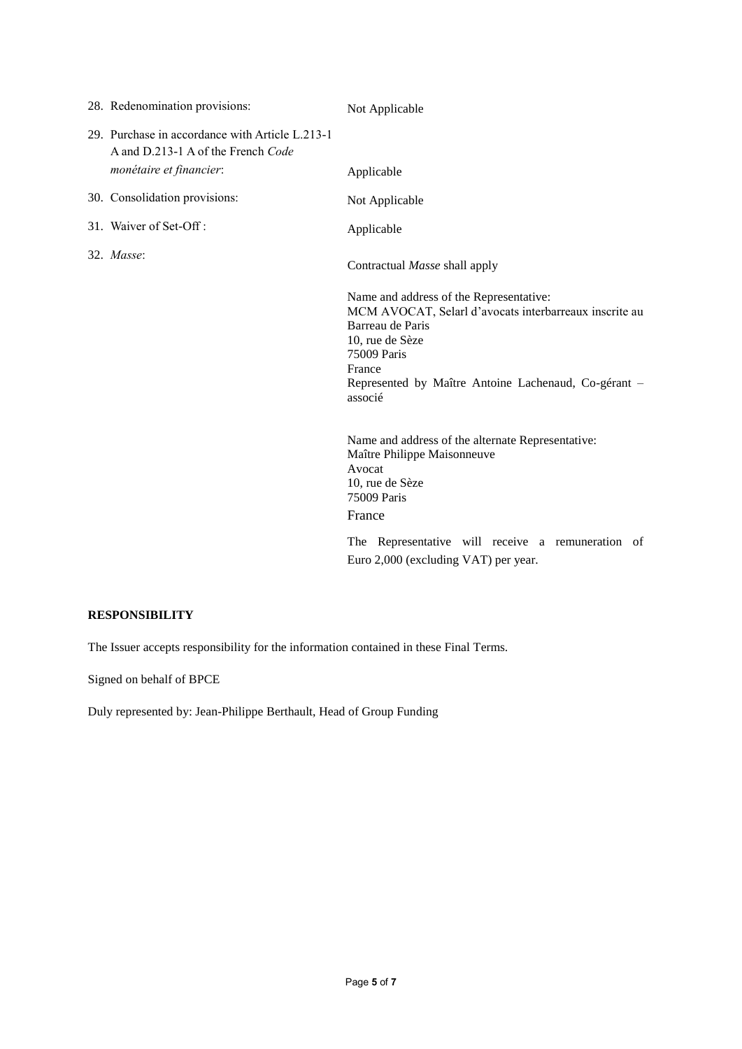| 28. Redenomination provisions:                                                        | Not Applicable                                                                                                                                                                                                                       |
|---------------------------------------------------------------------------------------|--------------------------------------------------------------------------------------------------------------------------------------------------------------------------------------------------------------------------------------|
| 29. Purchase in accordance with Article L.213-1<br>A and D.213-1 A of the French Code |                                                                                                                                                                                                                                      |
| monétaire et financier:                                                               | Applicable                                                                                                                                                                                                                           |
| 30. Consolidation provisions:                                                         | Not Applicable                                                                                                                                                                                                                       |
| 31. Waiver of Set-Off:                                                                | Applicable                                                                                                                                                                                                                           |
| 32. Masse:                                                                            | Contractual Masse shall apply                                                                                                                                                                                                        |
|                                                                                       | Name and address of the Representative:<br>MCM AVOCAT, Selarl d'avocats interbarreaux inscrite au<br>Barreau de Paris<br>10, rue de Sèze<br>75009 Paris<br>France<br>Represented by Maître Antoine Lachenaud, Co-gérant -<br>associé |
|                                                                                       | Name and address of the alternate Representative:<br>Maître Philippe Maisonneuve<br>Avocat<br>10, rue de Sèze<br>75009 Paris<br>France                                                                                               |
|                                                                                       | The Representative will receive a remuneration of<br>Euro 2,000 (excluding VAT) per year.                                                                                                                                            |

# **RESPONSIBILITY**

The Issuer accepts responsibility for the information contained in these Final Terms.

Signed on behalf of BPCE

Duly represented by: Jean-Philippe Berthault, Head of Group Funding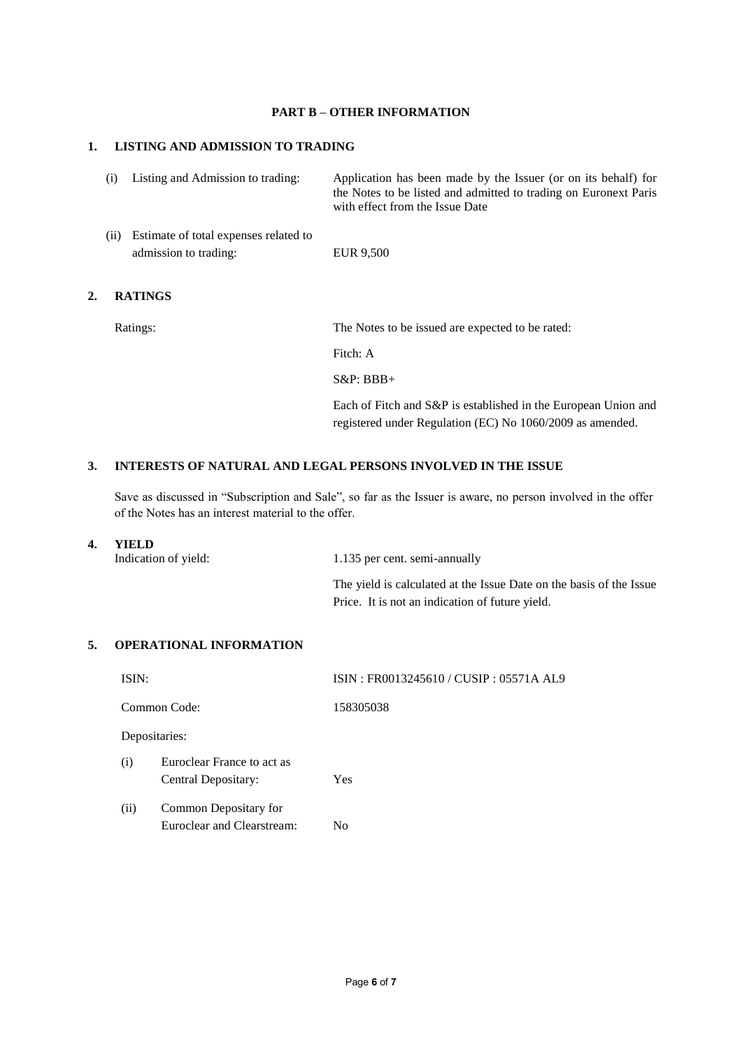### **PART B – OTHER INFORMATION**

## **1. LISTING AND ADMISSION TO TRADING**

| (i) Listing and Admission to trading:      | Application has been made by the Issuer (or on its behalf) for<br>the Notes to be listed and admitted to trading on Euronext Paris<br>with effect from the Issue Date |
|--------------------------------------------|-----------------------------------------------------------------------------------------------------------------------------------------------------------------------|
| (ii) Estimate of total expenses related to |                                                                                                                                                                       |
| admission to trading:                      | EUR 9,500                                                                                                                                                             |

### **2. RATINGS**

| Ratings: | The Notes to be issued are expected to be rated:                                                                            |
|----------|-----------------------------------------------------------------------------------------------------------------------------|
|          | Fitch: A                                                                                                                    |
|          | $S\&P:BBB+$                                                                                                                 |
|          | Each of Fitch and S&P is established in the European Union and<br>registered under Regulation (EC) No 1060/2009 as amended. |

### **3. INTERESTS OF NATURAL AND LEGAL PERSONS INVOLVED IN THE ISSUE**

Save as discussed in "Subscription and Sale", so far as the Issuer is aware, no person involved in the offer of the Notes has an interest material to the offer.

#### **4. YIELD**

| Indication of yield: | 1.135 per cent. semi-annually                                      |
|----------------------|--------------------------------------------------------------------|
|                      | The vield is calculated at the Issue Date on the basis of the Issu |

The yield is calculated at the Issue Date on the basis of the Issue Price. It is not an indication of future yield.

#### **5. OPERATIONAL INFORMATION**

| ISIN:         |                                                     | ISIN: FR0013245610 / CUSIP: 05571A AL9 |
|---------------|-----------------------------------------------------|----------------------------------------|
| Common Code:  |                                                     | 158305038                              |
| Depositaries: |                                                     |                                        |
| (i)           | Euroclear France to act as<br>Central Depositary:   | Yes                                    |
| (ii)          | Common Depositary for<br>Euroclear and Clearstream: | No                                     |